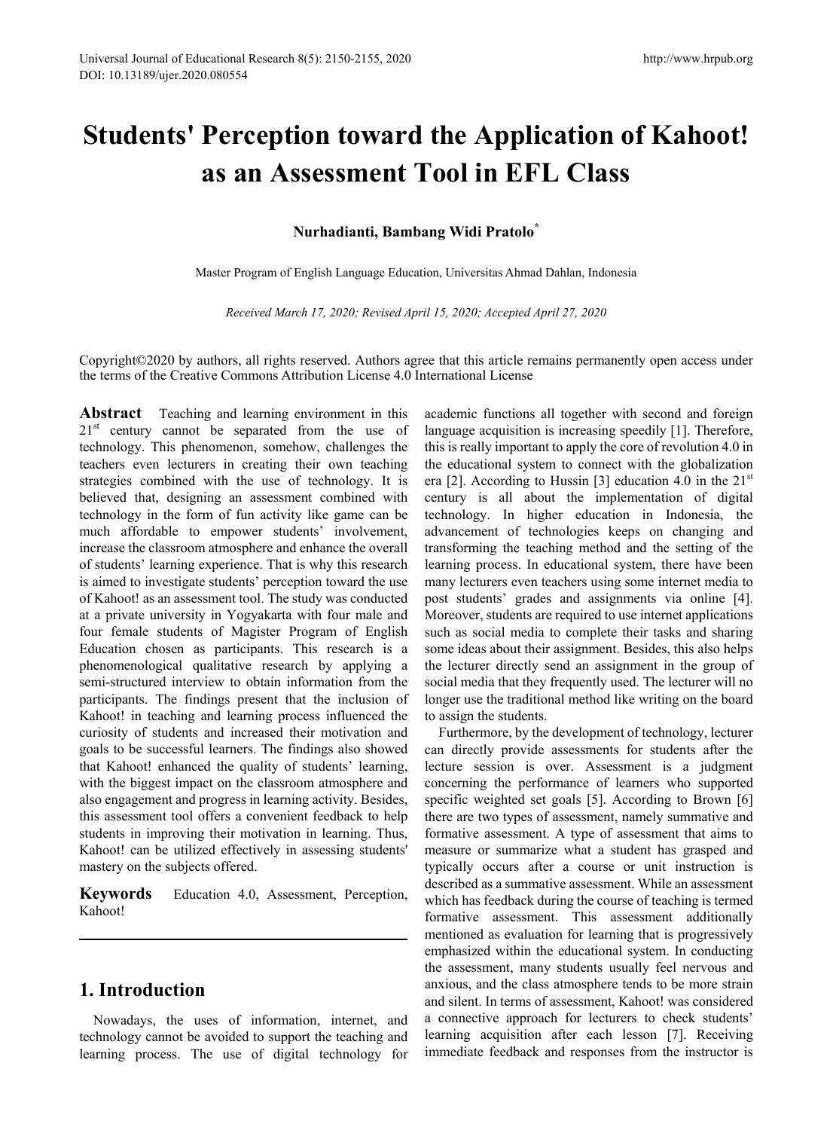# **Students' Perception toward the Application of Kahoot! as an Assessment Tool in EFL Class**

#### **Nurhadianti, Bambang Widi Pratolo\***

Master Program of English Language Education, Universitas Ahmad Dahlan, Indonesia

*Received March 17, 2020; Revised April 15, 2020; Accepted April 27, 2020*

Copyright©2020 by authors, all rights reserved. Authors agree that this article remains permanently open access under the terms of the Creative Commons Attribution License 4.0 International License

**Abstract** Teaching and learning environment in this  $21<sup>st</sup>$  century cannot be separated from the use of technology. This phenomenon, somehow, challenges the teachers even lecturers in creating their own teaching strategies combined with the use of technology. It is believed that, designing an assessment combined with technology in the form of fun activity like game can be much affordable to empower students' involvement, increase the classroom atmosphere and enhance the overall of students' learning experience. That is why this research is aimed to investigate students' perception toward the use of Kahoot! as an assessment tool. The study was conducted at a private university in Yogyakarta with four male and four female students of Magister Program of English Education chosen as participants. This research is a phenomenological qualitative research by applying a semi-structured interview to obtain information from the participants. The findings present that the inclusion of Kahoot! in teaching and learning process influenced the curiosity of students and increased their motivation and goals to be successful learners. The findings also showed that Kahoot! enhanced the quality of students' learning, with the biggest impact on the classroom atmosphere and also engagement and progress in learning activity. Besides, this assessment tool offers a convenient feedback to help students in improving their motivation in learning. Thus, Kahoot! can be utilized effectively in assessing students' mastery on the subjects offered.

**Keywords** Education 4.0, Assessment, Perception, Kahoot!

# **1. Introduction**

Nowadays, the uses of information, internet, and technology cannot be avoided to support the teaching and learning process. The use of digital technology for academic functions all together with second and foreign language acquisition is increasing speedily [1]. Therefore, this is really important to apply the core of revolution 4.0 in the educational system to connect with the globalization era [2]. According to Hussin [3] education 4.0 in the  $21<sup>st</sup>$ century is all about the implementation of digital technology. In higher education in Indonesia, the advancement of technologies keeps on changing and transforming the teaching method and the setting of the learning process. In educational system, there have been many lecturers even teachers using some internet media to post students' grades and assignments via online [4]. Moreover, students are required to use internet applications such as social media to complete their tasks and sharing some ideas about their assignment. Besides, this also helps the lecturer directly send an assignment in the group of social media that they frequently used. The lecturer will no longer use the traditional method like writing on the board to assign the students.

Furthermore, by the development of technology, lecturer can directly provide assessments for students after the lecture session is over. Assessment is a judgment concerning the performance of learners who supported specific weighted set goals [5]. According to Brown [6] there are two types of assessment, namely summative and formative assessment. A type of assessment that aims to measure or summarize what a student has grasped and typically occurs after a course or unit instruction is described as a summative assessment. While an assessment which has feedback during the course of teaching is termed formative assessment. This assessment additionally mentioned as evaluation for learning that is progressively emphasized within the educational system. In conducting the assessment, many students usually feel nervous and anxious, and the class atmosphere tends to be more strain and silent. In terms of assessment, Kahoot! was considered a connective approach for lecturers to check students' learning acquisition after each lesson [7]. Receiving immediate feedback and responses from the instructor is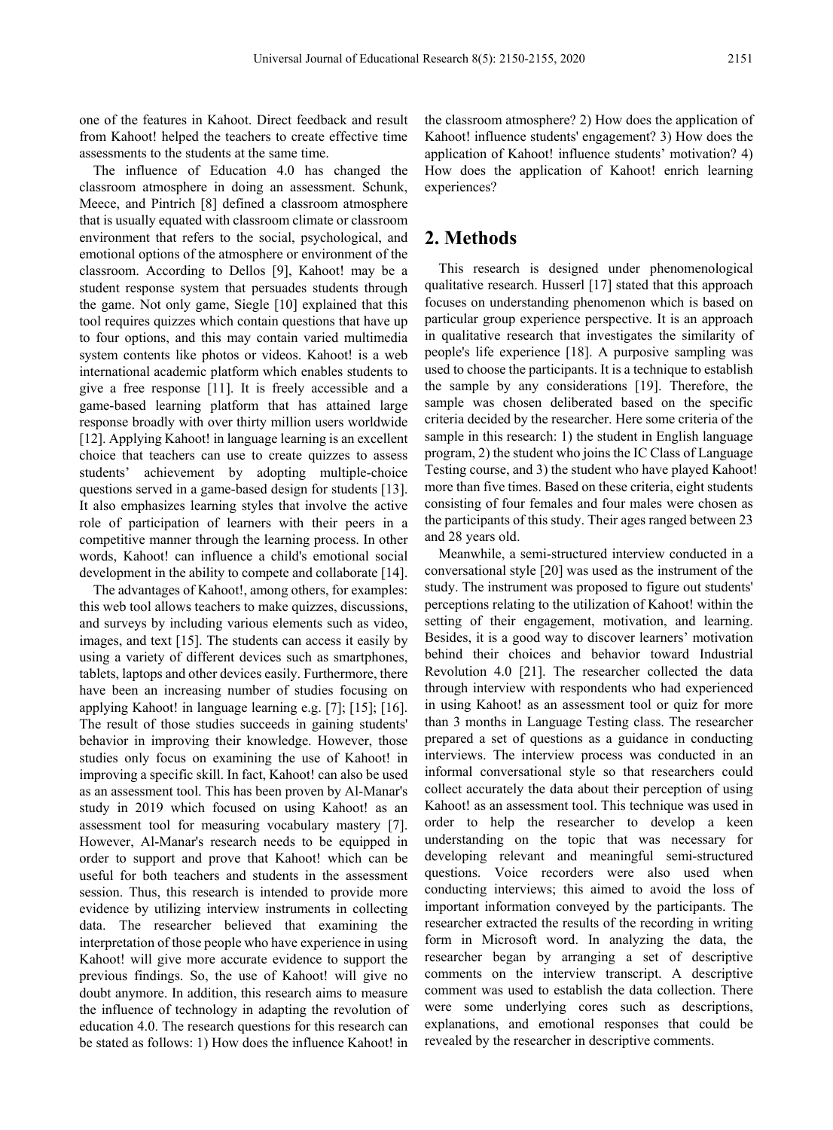one of the features in Kahoot. Direct feedback and result from Kahoot! helped the teachers to create effective time assessments to the students at the same time.

The influence of Education 4.0 has changed the classroom atmosphere in doing an assessment. Schunk, Meece, and Pintrich [8] defined a classroom atmosphere that is usually equated with classroom climate or classroom environment that refers to the social, psychological, and emotional options of the atmosphere or environment of the classroom. According to Dellos [9], Kahoot! may be a student response system that persuades students through the game. Not only game, Siegle [10] explained that this tool requires quizzes which contain questions that have up to four options, and this may contain varied multimedia system contents like photos or videos. Kahoot! is a web international academic platform which enables students to give a free response [11]. It is freely accessible and a game-based learning platform that has attained large response broadly with over thirty million users worldwide [12]. Applying Kahoot! in language learning is an excellent choice that teachers can use to create quizzes to assess students' achievement by adopting multiple-choice questions served in a game-based design for students [13]. It also emphasizes learning styles that involve the active role of participation of learners with their peers in a competitive manner through the learning process. In other words, Kahoot! can influence a child's emotional social development in the ability to compete and collaborate [14].

The advantages of Kahoot!, among others, for examples: this web tool allows teachers to make quizzes, discussions, and surveys by including various elements such as video, images, and text [15]. The students can access it easily by using a variety of different devices such as smartphones, tablets, laptops and other devices easily. Furthermore, there have been an increasing number of studies focusing on applying Kahoot! in language learning e.g. [7]; [15]; [16]. The result of those studies succeeds in gaining students' behavior in improving their knowledge. However, those studies only focus on examining the use of Kahoot! in improving a specific skill. In fact, Kahoot! can also be used as an assessment tool. This has been proven by Al-Manar's study in 2019 which focused on using Kahoot! as an assessment tool for measuring vocabulary mastery [7]. However, Al-Manar's research needs to be equipped in order to support and prove that Kahoot! which can be useful for both teachers and students in the assessment session. Thus, this research is intended to provide more evidence by utilizing interview instruments in collecting data. The researcher believed that examining the interpretation of those people who have experience in using Kahoot! will give more accurate evidence to support the previous findings. So, the use of Kahoot! will give no doubt anymore. In addition, this research aims to measure the influence of technology in adapting the revolution of education 4.0. The research questions for this research can be stated as follows: 1) How does the influence Kahoot! in

the classroom atmosphere? 2) How does the application of Kahoot! influence students' engagement? 3) How does the application of Kahoot! influence students' motivation? 4) How does the application of Kahoot! enrich learning experiences?

#### **2. Methods**

This research is designed under phenomenological qualitative research. Husserl [17] stated that this approach focuses on understanding phenomenon which is based on particular group experience perspective. It is an approach in qualitative research that investigates the similarity of people's life experience [18]. A purposive sampling was used to choose the participants. It is a technique to establish the sample by any considerations [19]. Therefore, the sample was chosen deliberated based on the specific criteria decided by the researcher. Here some criteria of the sample in this research: 1) the student in English language program, 2) the student who joins the IC Class of Language Testing course, and 3) the student who have played Kahoot! more than five times. Based on these criteria, eight students consisting of four females and four males were chosen as the participants of this study. Their ages ranged between 23 and 28 years old.

Meanwhile, a semi-structured interview conducted in a conversational style [20] was used as the instrument of the study. The instrument was proposed to figure out students' perceptions relating to the utilization of Kahoot! within the setting of their engagement, motivation, and learning. Besides, it is a good way to discover learners' motivation behind their choices and behavior toward Industrial Revolution 4.0 [21]. The researcher collected the data through interview with respondents who had experienced in using Kahoot! as an assessment tool or quiz for more than 3 months in Language Testing class. The researcher prepared a set of questions as a guidance in conducting interviews. The interview process was conducted in an informal conversational style so that researchers could collect accurately the data about their perception of using Kahoot! as an assessment tool. This technique was used in order to help the researcher to develop a keen understanding on the topic that was necessary for developing relevant and meaningful semi-structured questions. Voice recorders were also used when conducting interviews; this aimed to avoid the loss of important information conveyed by the participants. The researcher extracted the results of the recording in writing form in Microsoft word. In analyzing the data, the researcher began by arranging a set of descriptive comments on the interview transcript. A descriptive comment was used to establish the data collection. There were some underlying cores such as descriptions, explanations, and emotional responses that could be revealed by the researcher in descriptive comments.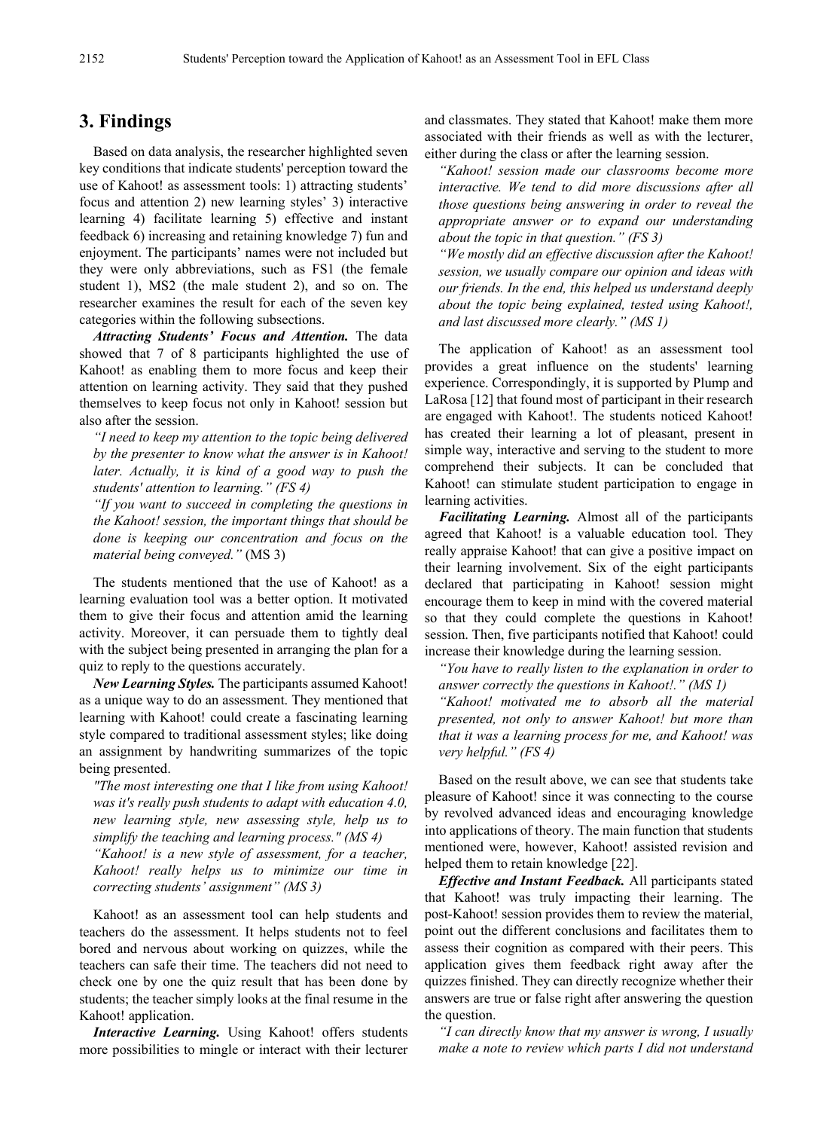## **3. Findings**

Based on data analysis, the researcher highlighted seven key conditions that indicate students' perception toward the use of Kahoot! as assessment tools: 1) attracting students' focus and attention 2) new learning styles' 3) interactive learning 4) facilitate learning 5) effective and instant feedback 6) increasing and retaining knowledge 7) fun and enjoyment. The participants' names were not included but they were only abbreviations, such as FS1 (the female student 1), MS2 (the male student 2), and so on. The researcher examines the result for each of the seven key categories within the following subsections.

*Attracting Students' Focus and Attention.* The data showed that 7 of 8 participants highlighted the use of Kahoot! as enabling them to more focus and keep their attention on learning activity. They said that they pushed themselves to keep focus not only in Kahoot! session but also after the session.

*"I need to keep my attention to the topic being delivered by the presenter to know what the answer is in Kahoot!*  later. Actually, it is kind of a good way to push the *students' attention to learning." (FS 4)*

*"If you want to succeed in completing the questions in the Kahoot! session, the important things that should be done is keeping our concentration and focus on the material being conveyed."* (MS 3)

The students mentioned that the use of Kahoot! as a learning evaluation tool was a better option. It motivated them to give their focus and attention amid the learning activity. Moreover, it can persuade them to tightly deal with the subject being presented in arranging the plan for a quiz to reply to the questions accurately.

*New Learning Styles.* The participants assumed Kahoot! as a unique way to do an assessment. They mentioned that learning with Kahoot! could create a fascinating learning style compared to traditional assessment styles; like doing an assignment by handwriting summarizes of the topic being presented.

*"The most interesting one that I like from using Kahoot! was it's really push students to adapt with education 4.0, new learning style, new assessing style, help us to simplify the teaching and learning process." (MS 4)*

*"Kahoot! is a new style of assessment, for a teacher, Kahoot! really helps us to minimize our time in correcting students' assignment" (MS 3)*

Kahoot! as an assessment tool can help students and teachers do the assessment. It helps students not to feel bored and nervous about working on quizzes, while the teachers can safe their time. The teachers did not need to check one by one the quiz result that has been done by students; the teacher simply looks at the final resume in the Kahoot! application.

*Interactive Learning.* Using Kahoot! offers students more possibilities to mingle or interact with their lecturer and classmates. They stated that Kahoot! make them more associated with their friends as well as with the lecturer, either during the class or after the learning session.

*"Kahoot! session made our classrooms become more interactive. We tend to did more discussions after all those questions being answering in order to reveal the appropriate answer or to expand our understanding about the topic in that question." (FS 3)*

*"We mostly did an effective discussion after the Kahoot! session, we usually compare our opinion and ideas with our friends. In the end, this helped us understand deeply about the topic being explained, tested using Kahoot!, and last discussed more clearly." (MS 1)*

The application of Kahoot! as an assessment tool provides a great influence on the students' learning experience. Correspondingly, it is supported by Plump and LaRosa [12] that found most of participant in their research are engaged with Kahoot!. The students noticed Kahoot! has created their learning a lot of pleasant, present in simple way, interactive and serving to the student to more comprehend their subjects. It can be concluded that Kahoot! can stimulate student participation to engage in learning activities.

*Facilitating Learning.* Almost all of the participants agreed that Kahoot! is a valuable education tool. They really appraise Kahoot! that can give a positive impact on their learning involvement. Six of the eight participants declared that participating in Kahoot! session might encourage them to keep in mind with the covered material so that they could complete the questions in Kahoot! session. Then, five participants notified that Kahoot! could increase their knowledge during the learning session.

*"You have to really listen to the explanation in order to answer correctly the questions in Kahoot!." (MS 1)*

*"Kahoot! motivated me to absorb all the material presented, not only to answer Kahoot! but more than that it was a learning process for me, and Kahoot! was very helpful." (FS 4)*

Based on the result above, we can see that students take pleasure of Kahoot! since it was connecting to the course by revolved advanced ideas and encouraging knowledge into applications of theory. The main function that students mentioned were, however, Kahoot! assisted revision and helped them to retain knowledge [22].

*Effective and Instant Feedback.* All participants stated that Kahoot! was truly impacting their learning. The post-Kahoot! session provides them to review the material, point out the different conclusions and facilitates them to assess their cognition as compared with their peers. This application gives them feedback right away after the quizzes finished. They can directly recognize whether their answers are true or false right after answering the question the question.

*"I can directly know that my answer is wrong, I usually make a note to review which parts I did not understand*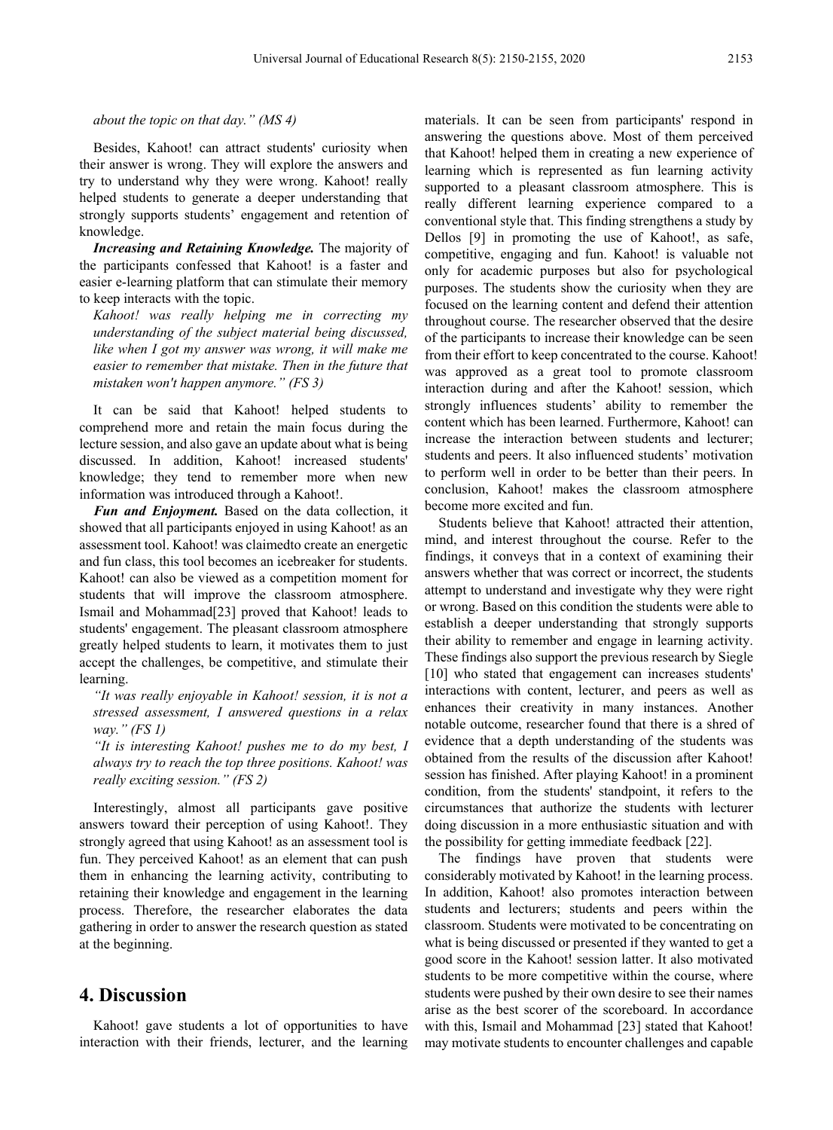#### *about the topic on that day." (MS 4)*

Besides, Kahoot! can attract students' curiosity when their answer is wrong. They will explore the answers and try to understand why they were wrong. Kahoot! really helped students to generate a deeper understanding that strongly supports students' engagement and retention of knowledge.

*Increasing and Retaining Knowledge.* The majority of the participants confessed that Kahoot! is a faster and easier e-learning platform that can stimulate their memory to keep interacts with the topic.

*Kahoot! was really helping me in correcting my understanding of the subject material being discussed, like when I got my answer was wrong, it will make me easier to remember that mistake. Then in the future that mistaken won't happen anymore." (FS 3)*

It can be said that Kahoot! helped students to comprehend more and retain the main focus during the lecture session, and also gave an update about what is being discussed. In addition, Kahoot! increased students' knowledge; they tend to remember more when new information was introduced through a Kahoot!.

*Fun and Enjoyment.* Based on the data collection, it showed that all participants enjoyed in using Kahoot! as an assessment tool. Kahoot! was claimedto create an energetic and fun class, this tool becomes an icebreaker for students. Kahoot! can also be viewed as a competition moment for students that will improve the classroom atmosphere. Ismail and Mohammad[23] proved that Kahoot! leads to students' engagement. The pleasant classroom atmosphere greatly helped students to learn, it motivates them to just accept the challenges, be competitive, and stimulate their learning.

*"It was really enjoyable in Kahoot! session, it is not a stressed assessment, I answered questions in a relax way." (FS 1)*

*"It is interesting Kahoot! pushes me to do my best, I always try to reach the top three positions. Kahoot! was really exciting session." (FS 2)*

Interestingly, almost all participants gave positive answers toward their perception of using Kahoot!. They strongly agreed that using Kahoot! as an assessment tool is fun. They perceived Kahoot! as an element that can push them in enhancing the learning activity, contributing to retaining their knowledge and engagement in the learning process. Therefore, the researcher elaborates the data gathering in order to answer the research question as stated at the beginning.

#### **4. Discussion**

Kahoot! gave students a lot of opportunities to have interaction with their friends, lecturer, and the learning

materials. It can be seen from participants' respond in answering the questions above. Most of them perceived that Kahoot! helped them in creating a new experience of learning which is represented as fun learning activity supported to a pleasant classroom atmosphere. This is really different learning experience compared to a conventional style that. This finding strengthens a study by Dellos [9] in promoting the use of Kahoot!, as safe, competitive, engaging and fun. Kahoot! is valuable not only for academic purposes but also for psychological purposes. The students show the curiosity when they are focused on the learning content and defend their attention throughout course. The researcher observed that the desire of the participants to increase their knowledge can be seen from their effort to keep concentrated to the course. Kahoot! was approved as a great tool to promote classroom interaction during and after the Kahoot! session, which strongly influences students' ability to remember the content which has been learned. Furthermore, Kahoot! can increase the interaction between students and lecturer; students and peers. It also influenced students' motivation to perform well in order to be better than their peers. In conclusion, Kahoot! makes the classroom atmosphere become more excited and fun.

Students believe that Kahoot! attracted their attention, mind, and interest throughout the course. Refer to the findings, it conveys that in a context of examining their answers whether that was correct or incorrect, the students attempt to understand and investigate why they were right or wrong. Based on this condition the students were able to establish a deeper understanding that strongly supports their ability to remember and engage in learning activity. These findings also support the previous research by Siegle [10] who stated that engagement can increases students' interactions with content, lecturer, and peers as well as enhances their creativity in many instances. Another notable outcome, researcher found that there is a shred of evidence that a depth understanding of the students was obtained from the results of the discussion after Kahoot! session has finished. After playing Kahoot! in a prominent condition, from the students' standpoint, it refers to the circumstances that authorize the students with lecturer doing discussion in a more enthusiastic situation and with the possibility for getting immediate feedback [22].

The findings have proven that students were considerably motivated by Kahoot! in the learning process. In addition, Kahoot! also promotes interaction between students and lecturers; students and peers within the classroom. Students were motivated to be concentrating on what is being discussed or presented if they wanted to get a good score in the Kahoot! session latter. It also motivated students to be more competitive within the course, where students were pushed by their own desire to see their names arise as the best scorer of the scoreboard. In accordance with this, Ismail and Mohammad [23] stated that Kahoot! may motivate students to encounter challenges and capable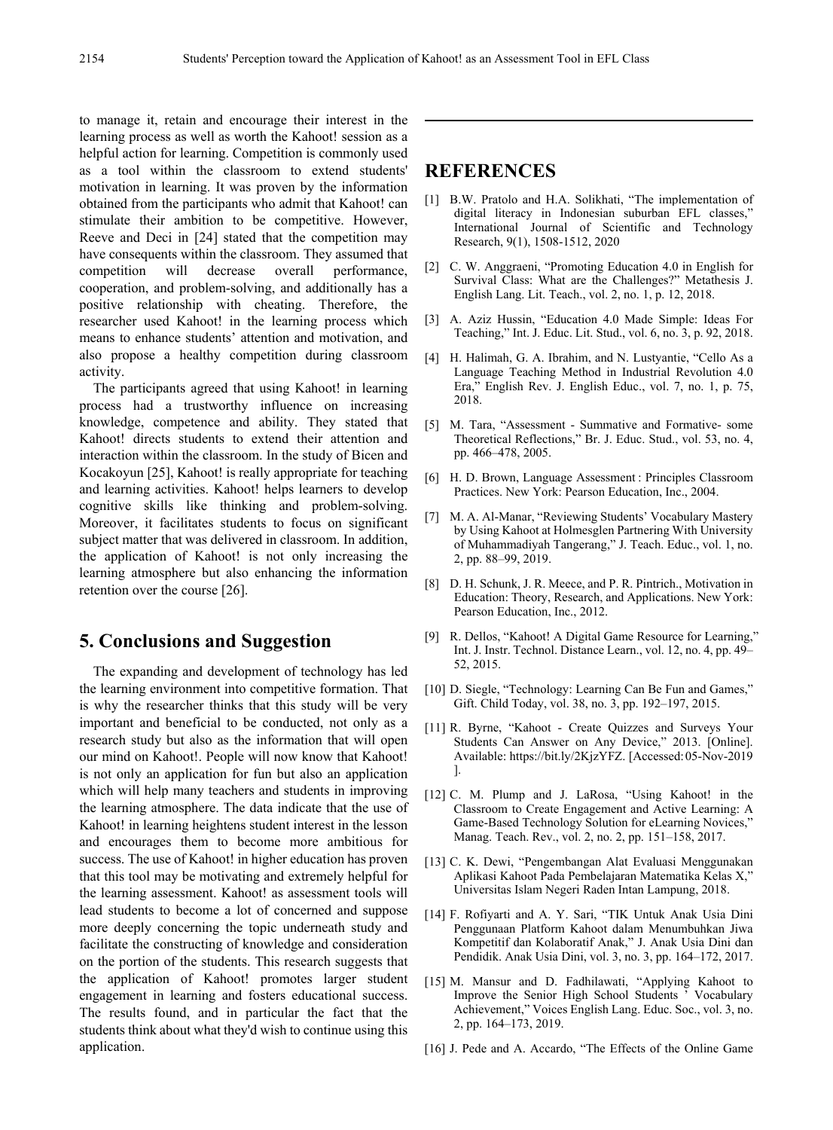to manage it, retain and encourage their interest in the learning process as well as worth the Kahoot! session as a helpful action for learning. Competition is commonly used as a tool within the classroom to extend students' motivation in learning. It was proven by the information obtained from the participants who admit that Kahoot! can stimulate their ambition to be competitive. However, Reeve and Deci in [24] stated that the competition may have consequents within the classroom. They assumed that competition will decrease overall performance, cooperation, and problem-solving, and additionally has a positive relationship with cheating. Therefore, the researcher used Kahoot! in the learning process which means to enhance students' attention and motivation, and also propose a healthy competition during classroom activity.

The participants agreed that using Kahoot! in learning process had a trustworthy influence on increasing knowledge, competence and ability. They stated that Kahoot! directs students to extend their attention and interaction within the classroom. In the study of Bicen and Kocakoyun [25], Kahoot! is really appropriate for teaching and learning activities. Kahoot! helps learners to develop cognitive skills like thinking and problem-solving. Moreover, it facilitates students to focus on significant subject matter that was delivered in classroom. In addition, the application of Kahoot! is not only increasing the learning atmosphere but also enhancing the information retention over the course [26].

### **5. Conclusions and Suggestion**

The expanding and development of technology has led the learning environment into competitive formation. That is why the researcher thinks that this study will be very important and beneficial to be conducted, not only as a research study but also as the information that will open our mind on Kahoot!. People will now know that Kahoot! is not only an application for fun but also an application which will help many teachers and students in improving the learning atmosphere. The data indicate that the use of Kahoot! in learning heightens student interest in the lesson and encourages them to become more ambitious for success. The use of Kahoot! in higher education has proven that this tool may be motivating and extremely helpful for the learning assessment. Kahoot! as assessment tools will lead students to become a lot of concerned and suppose more deeply concerning the topic underneath study and facilitate the constructing of knowledge and consideration on the portion of the students. This research suggests that the application of Kahoot! promotes larger student engagement in learning and fosters educational success. The results found, and in particular the fact that the students think about what they'd wish to continue using this application.

# **REFERENCES**

- [1] B.W. Pratolo and H.A. Solikhati, "The implementation of digital literacy in Indonesian suburban EFL classes," International Journal of Scientific and Technology Research, 9(1), 1508-1512, 2020
- [2] C. W. Anggraeni, "Promoting Education 4.0 in English for Survival Class: What are the Challenges?" Metathesis J. English Lang. Lit. Teach., vol. 2, no. 1, p. 12, 2018.
- [3] A. Aziz Hussin, "Education 4.0 Made Simple: Ideas For Teaching," Int. J. Educ. Lit. Stud., vol. 6, no. 3, p. 92, 2018.
- [4] H. Halimah, G. A. Ibrahim, and N. Lustyantie, "Cello As a Language Teaching Method in Industrial Revolution 4.0 Era," English Rev. J. English Educ., vol. 7, no. 1, p. 75, 2018.
- [5] M. Tara, "Assessment Summative and Formative- some Theoretical Reflections," Br. J. Educ. Stud., vol. 53, no. 4, pp. 466–478, 2005.
- [6] H. D. Brown, Language Assessment : Principles Classroom Practices. New York: Pearson Education, Inc., 2004.
- [7] M. A. Al-Manar, "Reviewing Students' Vocabulary Mastery by Using Kahoot at Holmesglen Partnering With University of Muhammadiyah Tangerang," J. Teach. Educ., vol. 1, no. 2, pp. 88–99, 2019.
- [8] D. H. Schunk, J. R. Meece, and P. R. Pintrich., Motivation in Education: Theory, Research, and Applications. New York: Pearson Education, Inc., 2012.
- [9] R. Dellos, "Kahoot! A Digital Game Resource for Learning," Int. J. Instr. Technol. Distance Learn., vol. 12, no. 4, pp. 49– 52, 2015.
- [10] D. Siegle, "Technology: Learning Can Be Fun and Games," Gift. Child Today, vol. 38, no. 3, pp. 192–197, 2015.
- [11] R. Byrne, "Kahoot Create Quizzes and Surveys Your Students Can Answer on Any Device," 2013. [Online]. Available: https://bit.ly/2KjzYFZ. [Accessed:05-Nov-2019 ].
- [12] C. M. Plump and J. LaRosa, "Using Kahoot! in the Classroom to Create Engagement and Active Learning: A Game-Based Technology Solution for eLearning Novices," Manag. Teach. Rev., vol. 2, no. 2, pp. 151–158, 2017.
- [13] C. K. Dewi, "Pengembangan Alat Evaluasi Menggunakan Aplikasi Kahoot Pada Pembelajaran Matematika Kelas X," Universitas Islam Negeri Raden Intan Lampung, 2018.
- [14] F. Rofiyarti and A. Y. Sari, "TIK Untuk Anak Usia Dini Penggunaan Platform Kahoot dalam Menumbuhkan Jiwa Kompetitif dan Kolaboratif Anak," J. Anak Usia Dini dan Pendidik. Anak Usia Dini, vol. 3, no. 3, pp. 164–172, 2017.
- [15] M. Mansur and D. Fadhilawati, "Applying Kahoot to Improve the Senior High School Students ' Vocabulary Achievement," Voices English Lang. Educ. Soc., vol. 3, no. 2, pp. 164–173, 2019.
- [16] J. Pede and A. Accardo, "The Effects of the Online Game